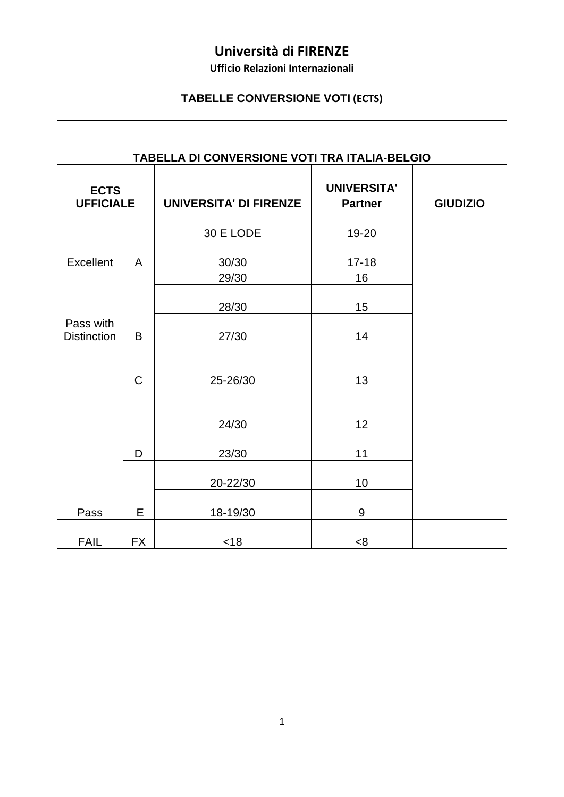## **Università di FIRENZE**

**Ufficio Relazioni Internazionali**

|                                 | <b>TABELLE CONVERSIONE VOTI (ECTS)</b>        |                               |                                      |                 |  |  |
|---------------------------------|-----------------------------------------------|-------------------------------|--------------------------------------|-----------------|--|--|
|                                 | TABELLA DI CONVERSIONE VOTI TRA ITALIA-BELGIO |                               |                                      |                 |  |  |
| <b>ECTS</b><br><b>UFFICIALE</b> |                                               | <b>UNIVERSITA' DI FIRENZE</b> | <b>UNIVERSITA'</b><br><b>Partner</b> | <b>GIUDIZIO</b> |  |  |
|                                 |                                               | 30 E LODE                     | 19-20                                |                 |  |  |
| Excellent                       | A                                             | 30/30                         | $17 - 18$                            |                 |  |  |
|                                 |                                               | 29/30                         | 16                                   |                 |  |  |
|                                 |                                               | 28/30                         | 15                                   |                 |  |  |
| Pass with<br><b>Distinction</b> | B                                             | 27/30                         | 14                                   |                 |  |  |
|                                 | $\mathsf C$                                   | 25-26/30                      | 13                                   |                 |  |  |
|                                 |                                               | 24/30                         | 12                                   |                 |  |  |
|                                 | D                                             | 23/30                         | 11                                   |                 |  |  |
|                                 |                                               | 20-22/30                      | 10                                   |                 |  |  |
| Pass                            | E                                             | 18-19/30                      | 9                                    |                 |  |  |
| <b>FAIL</b>                     | <b>FX</b>                                     | < 18                          | <8                                   |                 |  |  |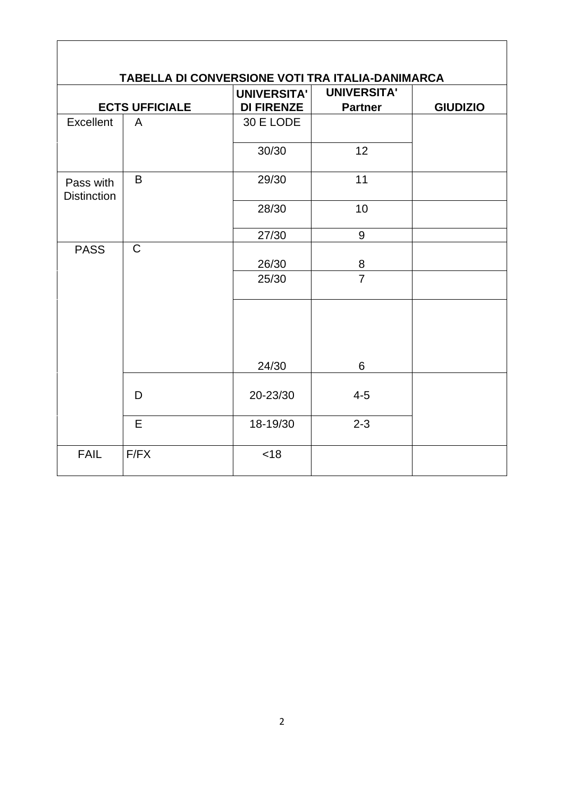|                                 |                       | <b>UNIVERSITA'</b> | <b>UNIVERSITA'</b> |                 |
|---------------------------------|-----------------------|--------------------|--------------------|-----------------|
|                                 | <b>ECTS UFFICIALE</b> | <b>DI FIRENZE</b>  | <b>Partner</b>     | <b>GIUDIZIO</b> |
| Excellent                       | $\overline{A}$        | 30 E LODE          |                    |                 |
|                                 |                       | 30/30              | 12                 |                 |
| Pass with<br><b>Distinction</b> | B                     | 29/30              | 11                 |                 |
|                                 |                       | 28/30              | 10                 |                 |
|                                 |                       | 27/30              | $\boldsymbol{9}$   |                 |
| <b>PASS</b>                     | $\mathsf{C}$          | 26/30              | 8                  |                 |
|                                 |                       | 25/30              | $\overline{7}$     |                 |
|                                 |                       | 24/30              | 6                  |                 |
|                                 | D                     | 20-23/30           | $4 - 5$            |                 |
|                                 | E                     | 18-19/30           | $2 - 3$            |                 |
| <b>FAIL</b>                     | F/FX                  | < 18               |                    |                 |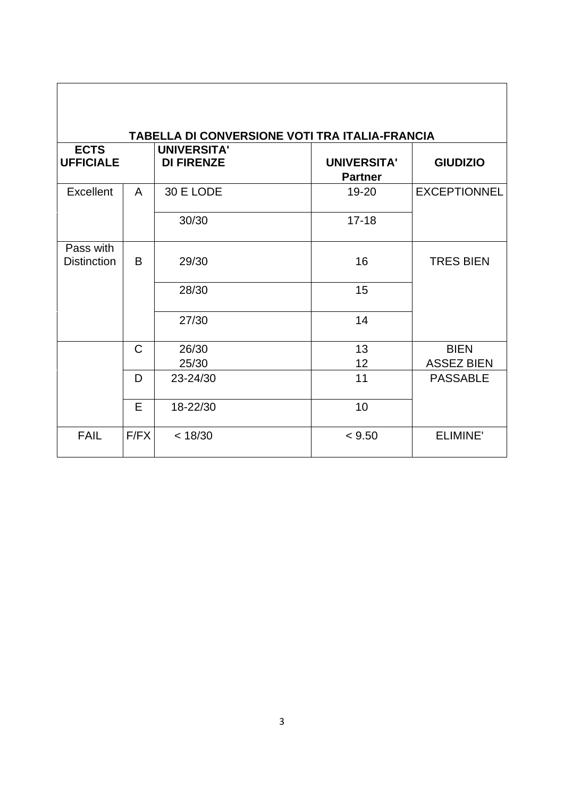| <b>ECTS</b><br><b>UFFICIALE</b> |              | <b>TABELLA DI CONVERSIONE VOTI TRA ITALIA-FRANCIA</b><br><b>UNIVERSITA'</b><br><b>DI FIRENZE</b> | <b>UNIVERSITA'</b><br><b>Partner</b> | <b>GIUDIZIO</b>     |
|---------------------------------|--------------|--------------------------------------------------------------------------------------------------|--------------------------------------|---------------------|
| Excellent                       | A            | 30 E LODE                                                                                        | 19-20                                | <b>EXCEPTIONNEL</b> |
|                                 |              | 30/30                                                                                            | $17 - 18$                            |                     |
| Pass with<br><b>Distinction</b> | B            | 29/30                                                                                            | 16                                   | <b>TRES BIEN</b>    |
|                                 |              | 28/30                                                                                            | 15                                   |                     |
|                                 |              | 27/30                                                                                            | 14                                   |                     |
|                                 | $\mathsf{C}$ | 26/30                                                                                            | 13                                   | <b>BIEN</b>         |
|                                 |              | 25/30                                                                                            | 12                                   | <b>ASSEZ BIEN</b>   |
|                                 | D            | 23-24/30                                                                                         | 11                                   | <b>PASSABLE</b>     |
|                                 | E            | 18-22/30                                                                                         | 10                                   |                     |
| <b>FAIL</b>                     | F/FX         | < 18/30                                                                                          | < 9.50                               | <b>ELIMINE</b>      |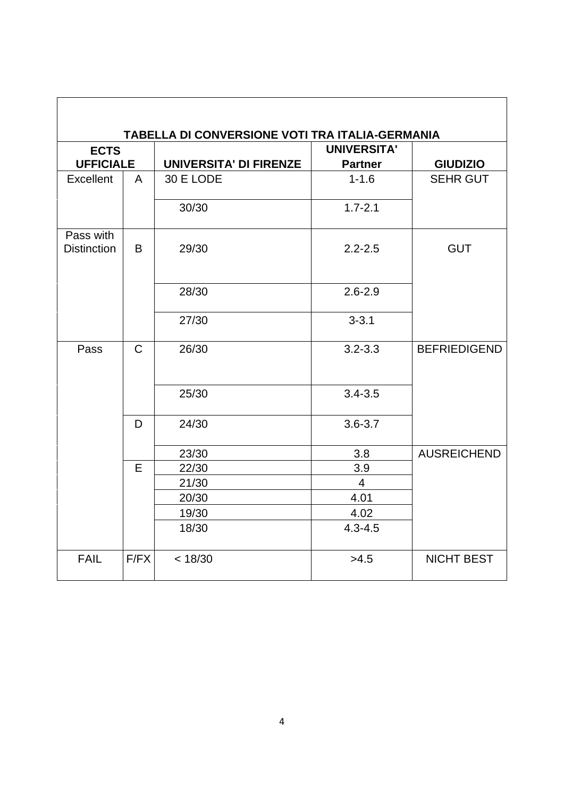|                                 | TABELLA DI CONVERSIONE VOTI TRA ITALIA-GERMANIA |                               |                    |                     |  |  |  |
|---------------------------------|-------------------------------------------------|-------------------------------|--------------------|---------------------|--|--|--|
| <b>ECTS</b>                     |                                                 |                               | <b>UNIVERSITA'</b> |                     |  |  |  |
| <b>UFFICIALE</b>                |                                                 | <b>UNIVERSITA' DI FIRENZE</b> | <b>Partner</b>     | <b>GIUDIZIO</b>     |  |  |  |
| <b>Excellent</b>                | A                                               | 30 E LODE                     | $1 - 1.6$          | <b>SEHR GUT</b>     |  |  |  |
|                                 |                                                 | 30/30                         | $1.7 - 2.1$        |                     |  |  |  |
| Pass with<br><b>Distinction</b> | B                                               | 29/30                         | $2.2 - 2.5$        | <b>GUT</b>          |  |  |  |
|                                 |                                                 | 28/30                         | $2.6 - 2.9$        |                     |  |  |  |
|                                 |                                                 | 27/30                         | $3 - 3.1$          |                     |  |  |  |
| Pass                            | $\mathsf{C}$                                    | 26/30                         | $3.2 - 3.3$        | <b>BEFRIEDIGEND</b> |  |  |  |
|                                 |                                                 | 25/30                         | $3.4 - 3.5$        |                     |  |  |  |
|                                 | D                                               | 24/30                         | $3.6 - 3.7$        |                     |  |  |  |
|                                 |                                                 | 23/30                         | 3.8                | <b>AUSREICHEND</b>  |  |  |  |
|                                 | E                                               | 22/30                         | 3.9                |                     |  |  |  |
|                                 |                                                 | 21/30                         | $\overline{4}$     |                     |  |  |  |
|                                 |                                                 | 20/30                         | 4.01               |                     |  |  |  |
|                                 |                                                 | 19/30                         | 4.02               |                     |  |  |  |
|                                 |                                                 | 18/30                         | $4.3 - 4.5$        |                     |  |  |  |
| <b>FAIL</b>                     | F/FX                                            | < 18/30                       | >4.5               | <b>NICHT BEST</b>   |  |  |  |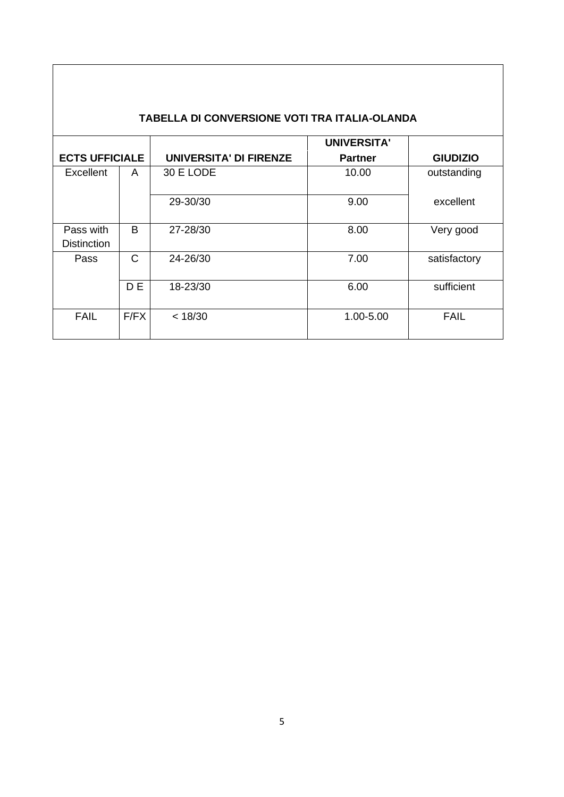| TABELLA DI CONVERSIONE VOTI TRA ITALIA-OLANDA |                |                               |                    |                 |  |
|-----------------------------------------------|----------------|-------------------------------|--------------------|-----------------|--|
|                                               |                |                               | <b>UNIVERSITA'</b> |                 |  |
| <b>ECTS UFFICIALE</b>                         |                | <b>UNIVERSITA' DI FIRENZE</b> | <b>Partner</b>     | <b>GIUDIZIO</b> |  |
| Excellent                                     | A              | 30 E LODE                     | 10.00              | outstanding     |  |
|                                               |                | 29-30/30                      | 9.00               | excellent       |  |
| Pass with<br><b>Distinction</b>               | B              | 27-28/30                      | 8.00               | Very good       |  |
| Pass                                          | C              | 24-26/30                      | 7.00               | satisfactory    |  |
|                                               | D <sub>E</sub> | 18-23/30                      | 6.00               | sufficient      |  |
| <b>FAIL</b>                                   | F/FX           | < 18/30                       | 1.00-5.00          | <b>FAIL</b>     |  |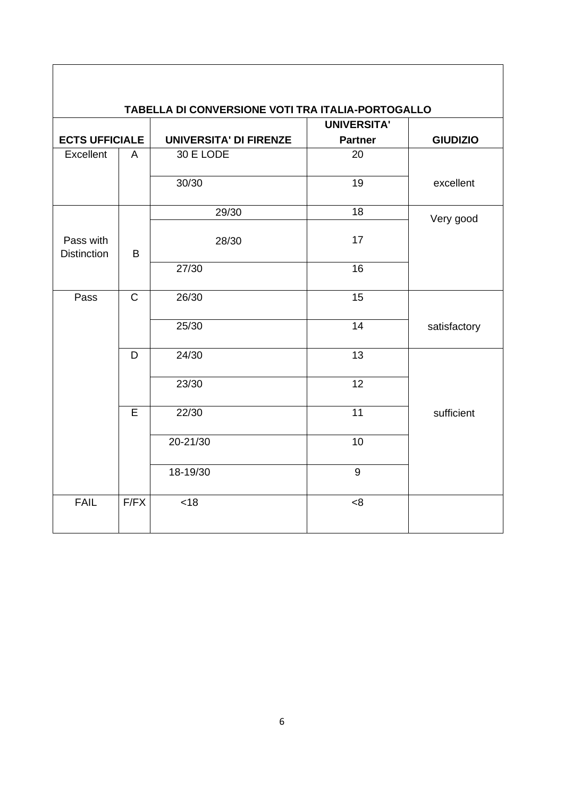| TABELLA DI CONVERSIONE VOTI TRA ITALIA-PORTOGALLO<br><b>UNIVERSITA'</b> |              |                               |                |                 |  |  |
|-------------------------------------------------------------------------|--------------|-------------------------------|----------------|-----------------|--|--|
| <b>ECTS UFFICIALE</b>                                                   |              | <b>UNIVERSITA' DI FIRENZE</b> | <b>Partner</b> | <b>GIUDIZIO</b> |  |  |
| Excellent                                                               | A            | 30 E LODE                     | 20             |                 |  |  |
|                                                                         |              | 30/30                         | 19             | excellent       |  |  |
|                                                                         |              | 29/30                         | 18             | Very good       |  |  |
| Pass with<br><b>Distinction</b>                                         | B            | 28/30                         | 17             |                 |  |  |
|                                                                         |              | 27/30                         | 16             |                 |  |  |
| Pass                                                                    | $\mathsf{C}$ | 26/30                         | 15             |                 |  |  |
|                                                                         |              | 25/30                         | 14             | satisfactory    |  |  |
|                                                                         | D            | 24/30                         | 13             |                 |  |  |
|                                                                         |              | 23/30                         | 12             |                 |  |  |
|                                                                         | E            | 22/30                         | 11             | sufficient      |  |  |
|                                                                         |              | 20-21/30                      | 10             |                 |  |  |
|                                                                         |              | 18-19/30                      | 9              |                 |  |  |
| <b>FAIL</b>                                                             | F/FX         | <18                           | < 8            |                 |  |  |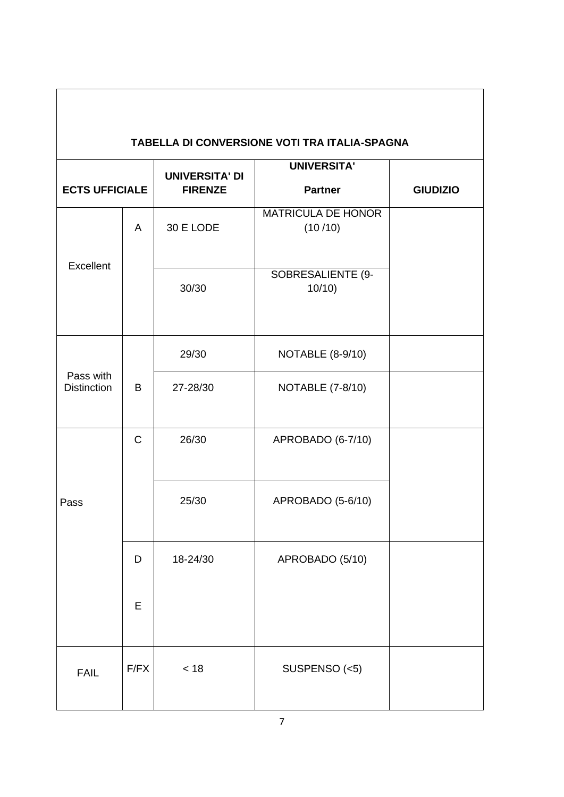| TABELLA DI CONVERSIONE VOTI TRA ITALIA-SPAGNA |                |                                         |                                      |                 |  |
|-----------------------------------------------|----------------|-----------------------------------------|--------------------------------------|-----------------|--|
| <b>ECTS UFFICIALE</b>                         |                | <b>UNIVERSITA' DI</b><br><b>FIRENZE</b> | <b>UNIVERSITA'</b><br><b>Partner</b> | <b>GIUDIZIO</b> |  |
| Excellent                                     | $\overline{A}$ | 30 E LODE                               | <b>MATRICULA DE HONOR</b><br>(10/10) |                 |  |
|                                               |                | 30/30                                   | SOBRESALIENTE (9-<br>10/10           |                 |  |
|                                               |                | 29/30                                   | <b>NOTABLE (8-9/10)</b>              |                 |  |
| Pass with<br><b>Distinction</b>               | B              | 27-28/30                                | <b>NOTABLE (7-8/10)</b>              |                 |  |
|                                               | $\mathsf C$    | 26/30                                   | APROBADO (6-7/10)                    |                 |  |
| Pass                                          |                | 25/30                                   | APROBADO (5-6/10)                    |                 |  |
|                                               | D              | 18-24/30                                | APROBADO (5/10)                      |                 |  |
|                                               | E              |                                         |                                      |                 |  |
| <b>FAIL</b>                                   | F/FX           | < 18                                    | SUSPENSO (<5)                        |                 |  |

 $\overline{\phantom{a}}$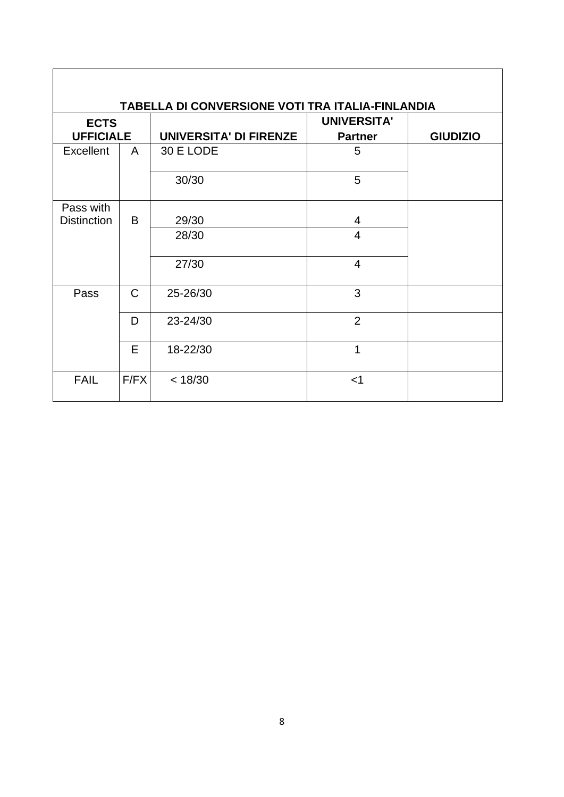| TABELLA DI CONVERSIONE VOTI TRA ITALIA-FINLANDIA |              |                               |                    |                 |  |  |
|--------------------------------------------------|--------------|-------------------------------|--------------------|-----------------|--|--|
| <b>ECTS</b>                                      |              |                               | <b>UNIVERSITA'</b> |                 |  |  |
| <b>UFFICIALE</b>                                 |              | <b>UNIVERSITA' DI FIRENZE</b> | <b>Partner</b>     | <b>GIUDIZIO</b> |  |  |
| <b>Excellent</b>                                 | A            | 30 E LODE                     | 5                  |                 |  |  |
|                                                  |              | 30/30                         | 5                  |                 |  |  |
| Pass with                                        |              |                               |                    |                 |  |  |
| <b>Distinction</b>                               | B            | 29/30                         | 4                  |                 |  |  |
|                                                  |              | 28/30                         | $\overline{4}$     |                 |  |  |
|                                                  |              | 27/30                         | $\overline{4}$     |                 |  |  |
| Pass                                             | $\mathsf{C}$ | 25-26/30                      | 3                  |                 |  |  |
|                                                  | D            | 23-24/30                      | $\overline{2}$     |                 |  |  |
|                                                  | E            | 18-22/30                      | 1                  |                 |  |  |
| <b>FAIL</b>                                      | F/FX         | < 18/30                       | $<$ 1              |                 |  |  |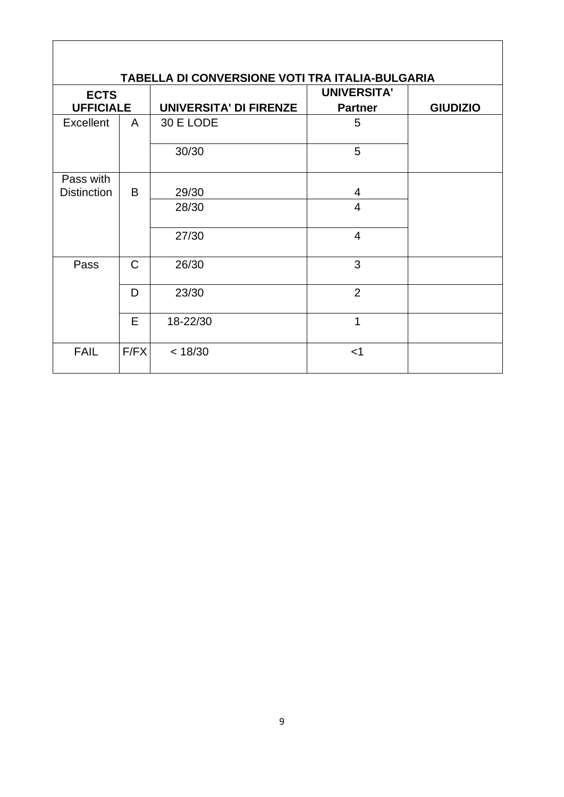| TABELLA DI CONVERSIONE VOTI TRA ITALIA-BULGARIA |              |                               |                    |                 |  |  |
|-------------------------------------------------|--------------|-------------------------------|--------------------|-----------------|--|--|
| <b>ECTS</b>                                     |              |                               | <b>UNIVERSITA'</b> |                 |  |  |
| <b>UFFICIALE</b>                                |              | <b>UNIVERSITA' DI FIRENZE</b> | <b>Partner</b>     | <b>GIUDIZIO</b> |  |  |
| <b>Excellent</b>                                | A            | 30 E LODE                     | 5                  |                 |  |  |
|                                                 |              | 30/30                         | 5                  |                 |  |  |
| Pass with                                       |              |                               |                    |                 |  |  |
| <b>Distinction</b>                              | B            | 29/30                         | 4                  |                 |  |  |
|                                                 |              | 28/30                         | $\overline{4}$     |                 |  |  |
|                                                 |              | 27/30                         | $\overline{4}$     |                 |  |  |
| Pass                                            | $\mathsf{C}$ | 26/30                         | 3                  |                 |  |  |
|                                                 | D            | 23/30                         | $\overline{2}$     |                 |  |  |
|                                                 | E            | 18-22/30                      | 1                  |                 |  |  |
| <b>FAIL</b>                                     | F/FX         | < 18/30                       | $<$ 1              |                 |  |  |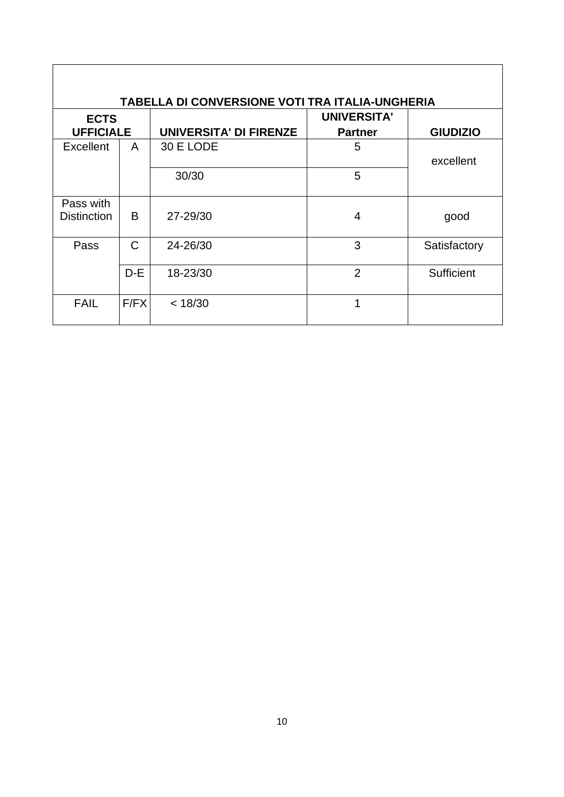| <b>TABELLA DI CONVERSIONE VOTI TRA ITALIA-UNGHERIA</b> |               |                               |                                      |                 |  |  |
|--------------------------------------------------------|---------------|-------------------------------|--------------------------------------|-----------------|--|--|
| <b>ECTS</b><br><b>UFFICIALE</b>                        |               | <b>UNIVERSITA' DI FIRENZE</b> | <b>UNIVERSITA'</b><br><b>Partner</b> | <b>GIUDIZIO</b> |  |  |
| <b>Excellent</b>                                       | A             | 30 E LODE                     | 5                                    | excellent       |  |  |
|                                                        |               | 30/30                         | 5                                    |                 |  |  |
| Pass with<br><b>Distinction</b>                        | B             | 27-29/30                      | 4                                    | good            |  |  |
| Pass                                                   | $\mathcal{C}$ | 24-26/30                      | 3                                    | Satisfactory    |  |  |
|                                                        | $D-E$         | 18-23/30                      | $\overline{2}$                       | Sufficient      |  |  |
| <b>FAIL</b>                                            | F/FX          | < 18/30                       | 1                                    |                 |  |  |